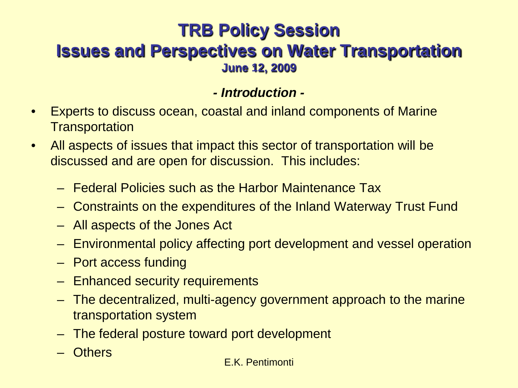# **TRB Policy Session Issues and Perspectives on Water Transportation June 12, 2009**

### *- Introduction -*

- Experts to discuss ocean, coastal and inland components of Marine **Transportation**
- All aspects of issues that impact this sector of transportation will be discussed and are open for discussion. This includes:
	- Federal Policies such as the Harbor Maintenance Tax
	- Constraints on the expenditures of the Inland Waterway Trust Fund
	- All aspects of the Jones Act
	- Environmental policy affecting port development and vessel operation
	- Port access funding
	- Enhanced security requirements
	- The decentralized, multi-agency government approach to the marine transportation system
	- The federal posture toward port development
	- Others

#### E.K. Pentimonti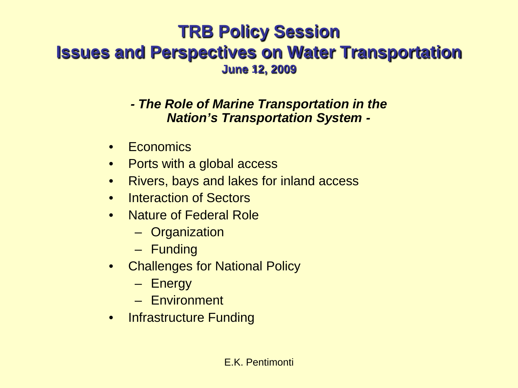# **TRB Policy Session Issues and Perspectives on Water Transportation June 12, 2009**

*- The Role of Marine Transportation in the Nation's Transportation System -*

- Economics
- Ports with a global access
- Rivers, bays and lakes for inland access
- Interaction of Sectors
- Nature of Federal Role
	- Organization
	- Funding
- Challenges for National Policy
	- Energy
	- Environment
- Infrastructure Funding